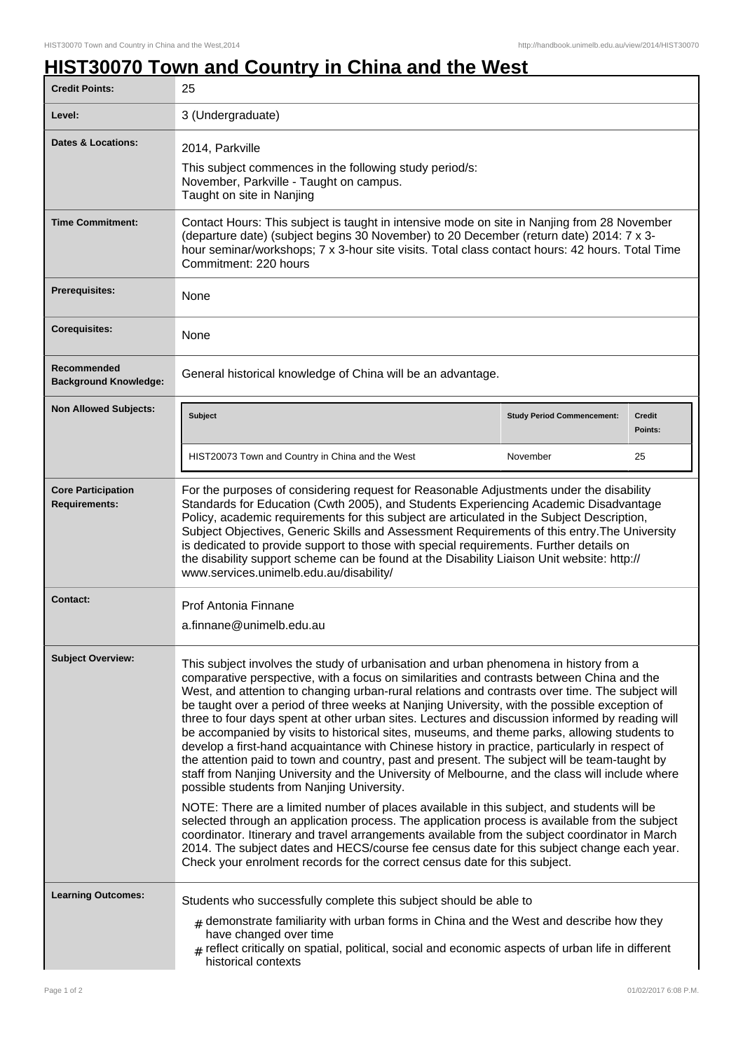٦

## **HIST30070 Town and Country in China and the West**

| <b>Credit Points:</b>                             | 25                                                                                                                                                                                                                                                                                                                                                                                                                                                                                                                                                                                                                                                                                                                                                                                                                                                                                                                                                                                                                                                                                                                                          |                                   |                          |
|---------------------------------------------------|---------------------------------------------------------------------------------------------------------------------------------------------------------------------------------------------------------------------------------------------------------------------------------------------------------------------------------------------------------------------------------------------------------------------------------------------------------------------------------------------------------------------------------------------------------------------------------------------------------------------------------------------------------------------------------------------------------------------------------------------------------------------------------------------------------------------------------------------------------------------------------------------------------------------------------------------------------------------------------------------------------------------------------------------------------------------------------------------------------------------------------------------|-----------------------------------|--------------------------|
| Level:                                            | 3 (Undergraduate)                                                                                                                                                                                                                                                                                                                                                                                                                                                                                                                                                                                                                                                                                                                                                                                                                                                                                                                                                                                                                                                                                                                           |                                   |                          |
| <b>Dates &amp; Locations:</b>                     | 2014, Parkville<br>This subject commences in the following study period/s:<br>November, Parkville - Taught on campus.<br>Taught on site in Nanjing                                                                                                                                                                                                                                                                                                                                                                                                                                                                                                                                                                                                                                                                                                                                                                                                                                                                                                                                                                                          |                                   |                          |
| <b>Time Commitment:</b>                           | Contact Hours: This subject is taught in intensive mode on site in Nanjing from 28 November<br>(departure date) (subject begins 30 November) to 20 December (return date) 2014: 7 x 3-<br>hour seminar/workshops; 7 x 3-hour site visits. Total class contact hours: 42 hours. Total Time<br>Commitment: 220 hours                                                                                                                                                                                                                                                                                                                                                                                                                                                                                                                                                                                                                                                                                                                                                                                                                          |                                   |                          |
| Prerequisites:                                    | None                                                                                                                                                                                                                                                                                                                                                                                                                                                                                                                                                                                                                                                                                                                                                                                                                                                                                                                                                                                                                                                                                                                                        |                                   |                          |
| <b>Corequisites:</b>                              | None                                                                                                                                                                                                                                                                                                                                                                                                                                                                                                                                                                                                                                                                                                                                                                                                                                                                                                                                                                                                                                                                                                                                        |                                   |                          |
| Recommended<br><b>Background Knowledge:</b>       | General historical knowledge of China will be an advantage.                                                                                                                                                                                                                                                                                                                                                                                                                                                                                                                                                                                                                                                                                                                                                                                                                                                                                                                                                                                                                                                                                 |                                   |                          |
| <b>Non Allowed Subjects:</b>                      | <b>Subject</b>                                                                                                                                                                                                                                                                                                                                                                                                                                                                                                                                                                                                                                                                                                                                                                                                                                                                                                                                                                                                                                                                                                                              | <b>Study Period Commencement:</b> | <b>Credit</b><br>Points: |
|                                                   | HIST20073 Town and Country in China and the West                                                                                                                                                                                                                                                                                                                                                                                                                                                                                                                                                                                                                                                                                                                                                                                                                                                                                                                                                                                                                                                                                            | November                          | 25                       |
| <b>Core Participation</b><br><b>Requirements:</b> | For the purposes of considering request for Reasonable Adjustments under the disability<br>Standards for Education (Cwth 2005), and Students Experiencing Academic Disadvantage<br>Policy, academic requirements for this subject are articulated in the Subject Description,<br>Subject Objectives, Generic Skills and Assessment Requirements of this entry. The University<br>is dedicated to provide support to those with special requirements. Further details on<br>the disability support scheme can be found at the Disability Liaison Unit website: http://<br>www.services.unimelb.edu.au/disability/                                                                                                                                                                                                                                                                                                                                                                                                                                                                                                                            |                                   |                          |
| <b>Contact:</b>                                   | Prof Antonia Finnane<br>a.finnane@unimelb.edu.au                                                                                                                                                                                                                                                                                                                                                                                                                                                                                                                                                                                                                                                                                                                                                                                                                                                                                                                                                                                                                                                                                            |                                   |                          |
| <b>Subject Overview:</b>                          | This subject involves the study of urbanisation and urban phenomena in history from a<br>comparative perspective, with a focus on similarities and contrasts between China and the<br>West, and attention to changing urban-rural relations and contrasts over time. The subject will<br>be taught over a period of three weeks at Nanjing University, with the possible exception of<br>three to four days spent at other urban sites. Lectures and discussion informed by reading will<br>be accompanied by visits to historical sites, museums, and theme parks, allowing students to<br>develop a first-hand acquaintance with Chinese history in practice, particularly in respect of<br>the attention paid to town and country, past and present. The subject will be team-taught by<br>staff from Nanjing University and the University of Melbourne, and the class will include where<br>possible students from Nanjing University.<br>NOTE: There are a limited number of places available in this subject, and students will be<br>selected through an application process. The application process is available from the subject |                                   |                          |
|                                                   | coordinator. Itinerary and travel arrangements available from the subject coordinator in March<br>2014. The subject dates and HECS/course fee census date for this subject change each year.<br>Check your enrolment records for the correct census date for this subject.                                                                                                                                                                                                                                                                                                                                                                                                                                                                                                                                                                                                                                                                                                                                                                                                                                                                  |                                   |                          |
| <b>Learning Outcomes:</b>                         | Students who successfully complete this subject should be able to                                                                                                                                                                                                                                                                                                                                                                                                                                                                                                                                                                                                                                                                                                                                                                                                                                                                                                                                                                                                                                                                           |                                   |                          |
|                                                   | $_{\#}$ demonstrate familiarity with urban forms in China and the West and describe how they<br>have changed over time<br>$_{\text{\#}}$ reflect critically on spatial, political, social and economic aspects of urban life in different<br>historical contexts                                                                                                                                                                                                                                                                                                                                                                                                                                                                                                                                                                                                                                                                                                                                                                                                                                                                            |                                   |                          |